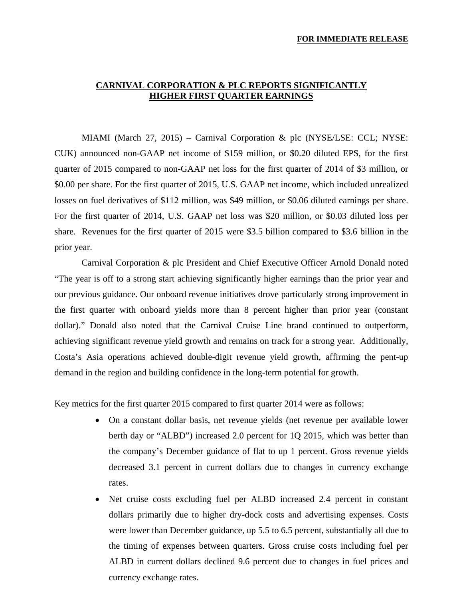#### **FOR IMMEDIATE RELEASE**

# **CARNIVAL CORPORATION & PLC REPORTS SIGNIFICANTLY HIGHER FIRST QUARTER EARNINGS**

MIAMI (March 27, 2015) – Carnival Corporation & plc (NYSE/LSE: CCL; NYSE: CUK) announced non-GAAP net income of \$159 million, or \$0.20 diluted EPS, for the first quarter of 2015 compared to non-GAAP net loss for the first quarter of 2014 of \$3 million, or \$0.00 per share. For the first quarter of 2015, U.S. GAAP net income, which included unrealized losses on fuel derivatives of \$112 million, was \$49 million, or \$0.06 diluted earnings per share. For the first quarter of 2014, U.S. GAAP net loss was \$20 million, or \$0.03 diluted loss per share. Revenues for the first quarter of 2015 were \$3.5 billion compared to \$3.6 billion in the prior year.

Carnival Corporation & plc President and Chief Executive Officer Arnold Donald noted "The year is off to a strong start achieving significantly higher earnings than the prior year and our previous guidance. Our onboard revenue initiatives drove particularly strong improvement in the first quarter with onboard yields more than 8 percent higher than prior year (constant dollar)." Donald also noted that the Carnival Cruise Line brand continued to outperform, achieving significant revenue yield growth and remains on track for a strong year. Additionally, Costa's Asia operations achieved double-digit revenue yield growth, affirming the pent-up demand in the region and building confidence in the long-term potential for growth.

Key metrics for the first quarter 2015 compared to first quarter 2014 were as follows:

- On a constant dollar basis, net revenue yields (net revenue per available lower berth day or "ALBD") increased 2.0 percent for 1Q 2015, which was better than the company's December guidance of flat to up 1 percent. Gross revenue yields decreased 3.1 percent in current dollars due to changes in currency exchange rates.
- Net cruise costs excluding fuel per ALBD increased 2.4 percent in constant dollars primarily due to higher dry-dock costs and advertising expenses. Costs were lower than December guidance, up 5.5 to 6.5 percent, substantially all due to the timing of expenses between quarters. Gross cruise costs including fuel per ALBD in current dollars declined 9.6 percent due to changes in fuel prices and currency exchange rates.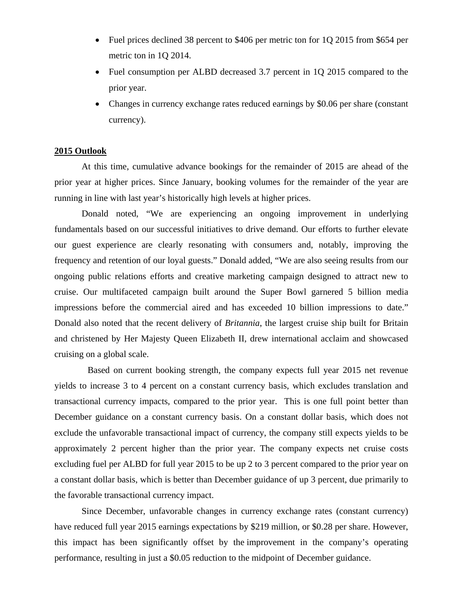- Fuel prices declined 38 percent to \$406 per metric ton for 1Q 2015 from \$654 per metric ton in 1Q 2014.
- Fuel consumption per ALBD decreased 3.7 percent in 1Q 2015 compared to the prior year.
- Changes in currency exchange rates reduced earnings by \$0.06 per share (constant currency).

## **2015 Outlook**

At this time, cumulative advance bookings for the remainder of 2015 are ahead of the prior year at higher prices. Since January, booking volumes for the remainder of the year are running in line with last year's historically high levels at higher prices.

Donald noted, "We are experiencing an ongoing improvement in underlying fundamentals based on our successful initiatives to drive demand. Our efforts to further elevate our guest experience are clearly resonating with consumers and, notably, improving the frequency and retention of our loyal guests." Donald added, "We are also seeing results from our ongoing public relations efforts and creative marketing campaign designed to attract new to cruise. Our multifaceted campaign built around the Super Bowl garnered 5 billion media impressions before the commercial aired and has exceeded 10 billion impressions to date." Donald also noted that the recent delivery of *Britannia*, the largest cruise ship built for Britain and christened by Her Majesty Queen Elizabeth II, drew international acclaim and showcased cruising on a global scale.

 Based on current booking strength, the company expects full year 2015 net revenue yields to increase 3 to 4 percent on a constant currency basis, which excludes translation and transactional currency impacts, compared to the prior year. This is one full point better than December guidance on a constant currency basis. On a constant dollar basis, which does not exclude the unfavorable transactional impact of currency, the company still expects yields to be approximately 2 percent higher than the prior year. The company expects net cruise costs excluding fuel per ALBD for full year 2015 to be up 2 to 3 percent compared to the prior year on a constant dollar basis, which is better than December guidance of up 3 percent, due primarily to the favorable transactional currency impact.

Since December, unfavorable changes in currency exchange rates (constant currency) have reduced full year 2015 earnings expectations by \$219 million, or \$0.28 per share. However, this impact has been significantly offset by the improvement in the company's operating performance, resulting in just a \$0.05 reduction to the midpoint of December guidance.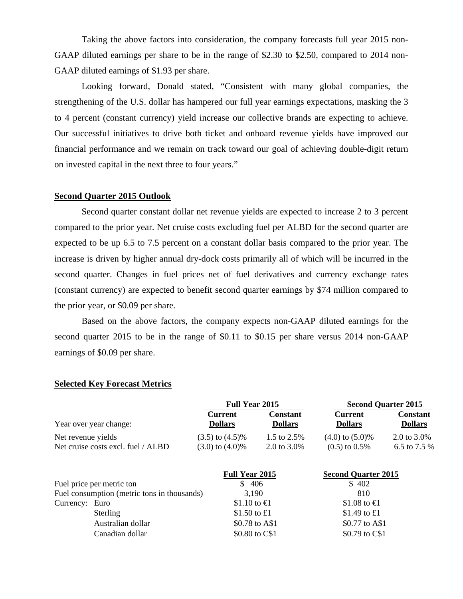Taking the above factors into consideration, the company forecasts full year 2015 non-GAAP diluted earnings per share to be in the range of \$2.30 to \$2.50, compared to 2014 non-GAAP diluted earnings of \$1.93 per share.

Looking forward, Donald stated, "Consistent with many global companies, the strengthening of the U.S. dollar has hampered our full year earnings expectations, masking the 3 to 4 percent (constant currency) yield increase our collective brands are expecting to achieve. Our successful initiatives to drive both ticket and onboard revenue yields have improved our financial performance and we remain on track toward our goal of achieving double-digit return on invested capital in the next three to four years."

### **Second Quarter 2015 Outlook**

Second quarter constant dollar net revenue yields are expected to increase 2 to 3 percent compared to the prior year. Net cruise costs excluding fuel per ALBD for the second quarter are expected to be up 6.5 to 7.5 percent on a constant dollar basis compared to the prior year. The increase is driven by higher annual dry-dock costs primarily all of which will be incurred in the second quarter. Changes in fuel prices net of fuel derivatives and currency exchange rates (constant currency) are expected to benefit second quarter earnings by \$74 million compared to the prior year, or \$0.09 per share.

Based on the above factors, the company expects non-GAAP diluted earnings for the second quarter 2015 to be in the range of \$0.11 to \$0.15 per share versus 2014 non-GAAP earnings of \$0.09 per share.

#### **Selected Key Forecast Metrics**

|                                             |                                    |                                              | <b>Full Year 2015</b>             | <b>Second Quarter 2015</b>                 |                                   |  |
|---------------------------------------------|------------------------------------|----------------------------------------------|-----------------------------------|--------------------------------------------|-----------------------------------|--|
|                                             | Year over year change:             | <b>Current</b><br><b>Dollars</b>             | <b>Constant</b><br><b>Dollars</b> | <b>Current</b><br><b>Dollars</b>           | <b>Constant</b><br><b>Dollars</b> |  |
| Net revenue yields                          | Net cruise costs excl. fuel / ALBD | $(3.5)$ to $(4.5)\%$<br>$(3.0)$ to $(4.0)\%$ | 1.5 to 2.5%<br>2.0 to 3.0%        | $(4.0)$ to $(5.0)$ %<br>$(0.5)$ to $0.5\%$ | 2.0 to 3.0%<br>6.5 to 7.5 %       |  |
|                                             | Fuel price per metric ton          |                                              | <b>Full Year 2015</b><br>\$406    | <b>Second Quarter 2015</b><br>\$402        |                                   |  |
| Fuel consumption (metric tons in thousands) |                                    |                                              | 3,190                             | 810                                        |                                   |  |
| Currency: Euro                              |                                    |                                              | \$1.10 to <del>€</del> 1          | \$1.08 to $\bigoplus$                      |                                   |  |
|                                             | Sterling                           |                                              | \$1.50 to £1                      | \$1.49 to $£1$                             |                                   |  |
|                                             | Australian dollar                  |                                              | \$0.78 to A\$1                    | \$0.77 to A\$1                             |                                   |  |
|                                             | Canadian dollar                    |                                              | \$0.80 to C\$1                    | \$0.79 to C\$1                             |                                   |  |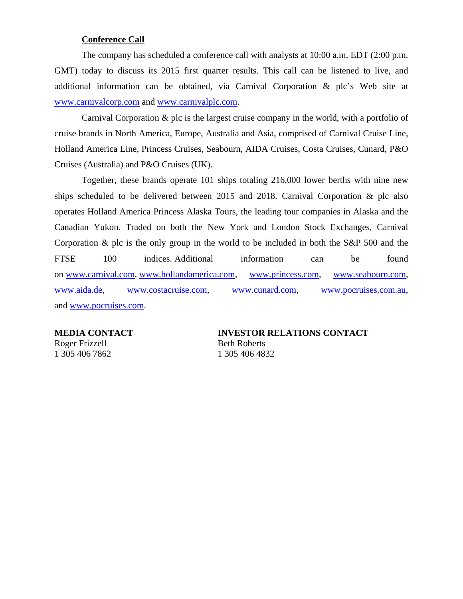### **Conference Call**

The company has scheduled a conference call with analysts at 10:00 a.m. EDT (2:00 p.m. GMT) today to discuss its 2015 first quarter results. This call can be listened to live, and additional information can be obtained, via Carnival Corporation & plc's Web site at www.carnivalcorp.com and www.carnivalplc.com.

Carnival Corporation  $\&$  plc is the largest cruise company in the world, with a portfolio of cruise brands in North America, Europe, Australia and Asia, comprised of Carnival Cruise Line, Holland America Line, Princess Cruises, Seabourn, AIDA Cruises, Costa Cruises, Cunard, P&O Cruises (Australia) and P&O Cruises (UK).

Together, these brands operate 101 ships totaling 216,000 lower berths with nine new ships scheduled to be delivered between 2015 and 2018. Carnival Corporation & plc also operates Holland America Princess Alaska Tours, the leading tour companies in Alaska and the Canadian Yukon. Traded on both the New York and London Stock Exchanges, Carnival Corporation & plc is the only group in the world to be included in both the S&P 500 and the FTSE 100 indices. Additional information can be found on www.carnival.com, www.hollandamerica.com, www.princess.com, www.seabourn.com, www.aida.de, www.costacruise.com, www.cunard.com, www.pocruises.com.au, and www.pocruises.com.

Roger Frizzell Beth Roberts 1 305 406 7862 1 305 406 4832

**MEDIA CONTACT MEDIA CONTACT DESCRIPTIONS CONTACT**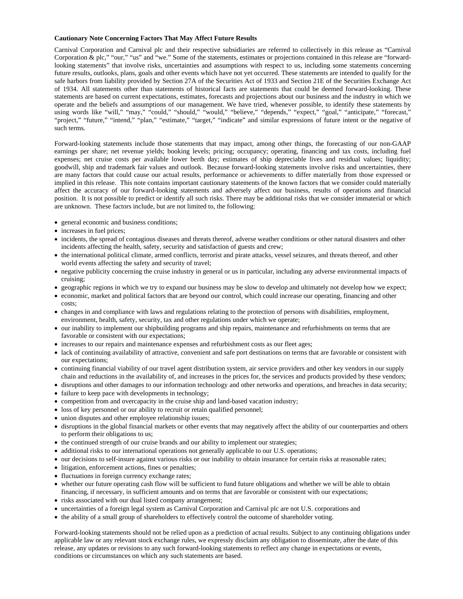#### **Cautionary Note Concerning Factors That May Affect Future Results**

Carnival Corporation and Carnival plc and their respective subsidiaries are referred to collectively in this release as "Carnival Corporation & plc," "our," "us" and "we." Some of the statements, estimates or projections contained in this release are "forwardlooking statements" that involve risks, uncertainties and assumptions with respect to us, including some statements concerning future results, outlooks, plans, goals and other events which have not yet occurred. These statements are intended to qualify for the safe harbors from liability provided by Section 27A of the Securities Act of 1933 and Section 21E of the Securities Exchange Act of 1934. All statements other than statements of historical facts are statements that could be deemed forward-looking. These statements are based on current expectations, estimates, forecasts and projections about our business and the industry in which we operate and the beliefs and assumptions of our management. We have tried, whenever possible, to identify these statements by using words like "will," "may," "could," "should," "would," "believe," "depends," "expect," "goal," "anticipate," "forecast," "project," "future," "intend," "plan," "estimate," "target," "indicate" and similar expressions of future intent or the negative of such terms.

Forward-looking statements include those statements that may impact, among other things, the forecasting of our non-GAAP earnings per share; net revenue yields; booking levels; pricing; occupancy; operating, financing and tax costs, including fuel expenses; net cruise costs per available lower berth day; estimates of ship depreciable lives and residual values; liquidity; goodwill, ship and trademark fair values and outlook. Because forward-looking statements involve risks and uncertainties, there are many factors that could cause our actual results, performance or achievements to differ materially from those expressed or implied in this release. This note contains important cautionary statements of the known factors that we consider could materially affect the accuracy of our forward-looking statements and adversely affect our business, results of operations and financial position. It is not possible to predict or identify all such risks. There may be additional risks that we consider immaterial or which are unknown. These factors include, but are not limited to, the following:

- general economic and business conditions;
- increases in fuel prices;
- incidents, the spread of contagious diseases and threats thereof, adverse weather conditions or other natural disasters and other incidents affecting the health, safety, security and satisfaction of guests and crew;
- the international political climate, armed conflicts, terrorist and pirate attacks, vessel seizures, and threats thereof, and other world events affecting the safety and security of travel;
- negative publicity concerning the cruise industry in general or us in particular, including any adverse environmental impacts of cruising;
- geographic regions in which we try to expand our business may be slow to develop and ultimately not develop how we expect;
- economic, market and political factors that are beyond our control, which could increase our operating, financing and other costs;
- changes in and compliance with laws and regulations relating to the protection of persons with disabilities, employment, environment, health, safety, security, tax and other regulations under which we operate;
- our inability to implement our shipbuilding programs and ship repairs, maintenance and refurbishments on terms that are favorable or consistent with our expectations;
- increases to our repairs and maintenance expenses and refurbishment costs as our fleet ages;
- lack of continuing availability of attractive, convenient and safe port destinations on terms that are favorable or consistent with our expectations;
- continuing financial viability of our travel agent distribution system, air service providers and other key vendors in our supply chain and reductions in the availability of, and increases in the prices for, the services and products provided by these vendors;
- disruptions and other damages to our information technology and other networks and operations, and breaches in data security;
- failure to keep pace with developments in technology;
- competition from and overcapacity in the cruise ship and land-based vacation industry;
- loss of key personnel or our ability to recruit or retain qualified personnel;
- union disputes and other employee relationship issues;
- disruptions in the global financial markets or other events that may negatively affect the ability of our counterparties and others to perform their obligations to us;
- the continued strength of our cruise brands and our ability to implement our strategies;
- additional risks to our international operations not generally applicable to our U.S. operations;
- our decisions to self-insure against various risks or our inability to obtain insurance for certain risks at reasonable rates;
- litigation, enforcement actions, fines or penalties;
- fluctuations in foreign currency exchange rates;
- whether our future operating cash flow will be sufficient to fund future obligations and whether we will be able to obtain financing, if necessary, in sufficient amounts and on terms that are favorable or consistent with our expectations;
- risks associated with our dual listed company arrangement;
- uncertainties of a foreign legal system as Carnival Corporation and Carnival plc are not U.S. corporations and
- the ability of a small group of shareholders to effectively control the outcome of shareholder voting.

Forward-looking statements should not be relied upon as a prediction of actual results. Subject to any continuing obligations under applicable law or any relevant stock exchange rules, we expressly disclaim any obligation to disseminate, after the date of this release, any updates or revisions to any such forward-looking statements to reflect any change in expectations or events, conditions or circumstances on which any such statements are based.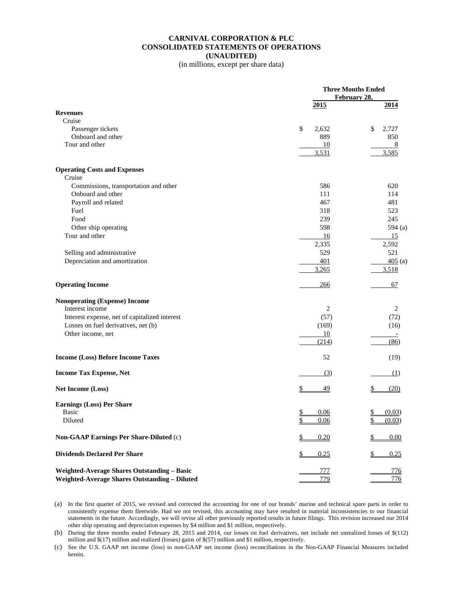#### **CARNIVAL CORPORATION & PLC CONSOLIDATED STATEMENTS OF OPERATIONS (UNAUDITED)**

(in millions, except per share data)

|                                                      | <b>Three Months Ended</b><br>February 28, |              |
|------------------------------------------------------|-------------------------------------------|--------------|
|                                                      | 2015                                      | <u>2014</u>  |
| <b>Revenues</b>                                      |                                           |              |
| Cruise                                               |                                           |              |
| Passenger tickets                                    | \$<br>2,632                               | \$<br>2,727  |
| Onboard and other                                    | 889                                       | 850          |
| Tour and other                                       | 10<br>3,531                               | 8<br>3,585   |
|                                                      |                                           |              |
| <b>Operating Costs and Expenses</b>                  |                                           |              |
| Cruise                                               |                                           |              |
| Commissions, transportation and other                | 586                                       | 620          |
| Onboard and other                                    | 111                                       | 114          |
| Payroll and related                                  | 467                                       | 481          |
| Fuel                                                 | 318                                       | 523          |
| Food                                                 | 239                                       | 245          |
| Other ship operating                                 | 598                                       | 594(a)       |
| Tour and other                                       | 16                                        | <u>15</u>    |
|                                                      | 2,335                                     | 2,592        |
| Selling and administrative                           | 529                                       | 521          |
| Depreciation and amortization                        | 401                                       | 405(a)       |
|                                                      | 3,265                                     | 3,518        |
| <b>Operating Income</b>                              | 266                                       | 67           |
| <b>Nonoperating (Expense) Income</b>                 |                                           |              |
| Interest income                                      | 2                                         | 2            |
| Interest expense, net of capitalized interest        | (57)                                      | (72)         |
| Losses on fuel derivatives, net (b)                  | (169)                                     | (16)         |
| Other income, net                                    | 10                                        |              |
|                                                      | (214)                                     | (86)         |
| <b>Income (Loss) Before Income Taxes</b>             | 52                                        | (19)         |
| <b>Income Tax Expense, Net</b>                       | (3)                                       | (1)          |
| <b>Net Income (Loss)</b>                             | 49                                        | (20)         |
| <b>Earnings (Loss) Per Share</b>                     |                                           |              |
| <b>Basic</b>                                         | 0.06                                      | (0.03)       |
| Diluted                                              | 0.06                                      | \$<br>(0.03) |
| Non-GAAP Earnings Per Share-Diluted (c)              | 0.20<br>\$                                | 0.00         |
| <b>Dividends Declared Per Share</b>                  | 0.25                                      | 0.25         |
| <b>Weighted-Average Shares Outstanding - Basic</b>   | 777                                       | 776          |
| <b>Weighted-Average Shares Outstanding - Diluted</b> | 779                                       | 776          |

(a) In the first quarter of 2015, we revised and corrected the accounting for one of our brands' marine and technical spare parts in order to consistently expense them fleetwide. Had we not revised, this accounting may have resulted in material inconsistencies to our financial statements in the future. Accordingly, we will revise all other previously reported results in future filings. This revision increased our 2014 other ship operating and depreciation expenses by \$4 million and \$1 million, respectively.

(b) During the three months ended February 28, 2015 and 2014, our losses on fuel derivatives, net include net unrealized losses of \$(112) million and \$(17) million and realized (losses) gains of \$(57) million and \$1 million, respectively.

(c) See the U.S. GAAP net income (loss) to non-GAAP net income (loss) reconciliations in the Non-GAAP Financial Measures included herein.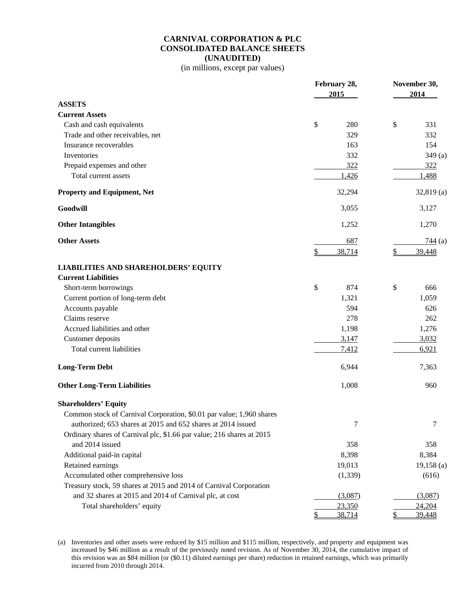### **CARNIVAL CORPORATION & PLC CONSOLIDATED BALANCE SHEETS (UNAUDITED)**

(in millions, except par values)

|                                                                       | February 28, | November 30,            |
|-----------------------------------------------------------------------|--------------|-------------------------|
|                                                                       | 2015         | 2014                    |
| <b>ASSETS</b>                                                         |              |                         |
| <b>Current Assets</b>                                                 |              |                         |
| Cash and cash equivalents                                             | \$<br>280    | \$<br>331               |
| Trade and other receivables, net                                      | 329          | 332                     |
| Insurance recoverables<br>Inventories                                 | 163<br>332   | 154<br>349(a)           |
| Prepaid expenses and other                                            | 322          | 322                     |
| Total current assets                                                  | 1,426        | 1,488                   |
|                                                                       |              |                         |
| <b>Property and Equipment, Net</b>                                    | 32,294       | $32,819$ (a)            |
| Goodwill                                                              | 3,055        | 3,127                   |
| <b>Other Intangibles</b>                                              | 1,252        | 1,270                   |
| <b>Other Assets</b>                                                   | 687          | 744(a)                  |
|                                                                       | \$<br>38,714 | 39,448<br>$\frac{1}{2}$ |
| <b>LIABILITIES AND SHAREHOLDERS' EQUITY</b>                           |              |                         |
| <b>Current Liabilities</b>                                            |              |                         |
| Short-term borrowings                                                 | \$<br>874    | \$<br>666               |
| Current portion of long-term debt                                     | 1,321        | 1,059                   |
| Accounts payable                                                      | 594          | 626                     |
| Claims reserve                                                        | 278          | 262                     |
| Accrued liabilities and other                                         | 1,198        | 1,276                   |
| Customer deposits                                                     | 3,147        | 3,032                   |
| Total current liabilities                                             | 7,412        | 6,921                   |
| <b>Long-Term Debt</b>                                                 | 6,944        | 7,363                   |
| <b>Other Long-Term Liabilities</b>                                    | 1,008        | 960                     |
| <b>Shareholders' Equity</b>                                           |              |                         |
| Common stock of Carnival Corporation, \$0.01 par value; 1,960 shares  |              |                         |
| authorized; 653 shares at 2015 and 652 shares at 2014 issued          | 7            | 7                       |
| Ordinary shares of Carnival plc, \$1.66 par value; 216 shares at 2015 |              |                         |
| and 2014 issued                                                       | 358          | 358                     |
| Additional paid-in capital                                            | 8,398        | 8,384                   |
| Retained earnings                                                     | 19,013       | $19,158$ (a)            |
| Accumulated other comprehensive loss                                  | (1, 339)     | (616)                   |
| Treasury stock, 59 shares at 2015 and 2014 of Carnival Corporation    |              |                         |
| and 32 shares at 2015 and 2014 of Carnival plc, at cost               | (3,087)      | (3,087)                 |
| Total shareholders' equity                                            | 23,350       | 24,204                  |
|                                                                       | 38,714       | 39,448                  |

(a) Inventories and other assets were reduced by \$15 million and \$115 million, respectively, and property and equipment was increased by \$46 million as a result of the previously noted revision. As of November 30, 2014, the cumulative impact of this revision was an \$84 million (or (\$0.11) diluted earnings per share) reduction in retained earnings, which was primarily incurred from 2010 through 2014.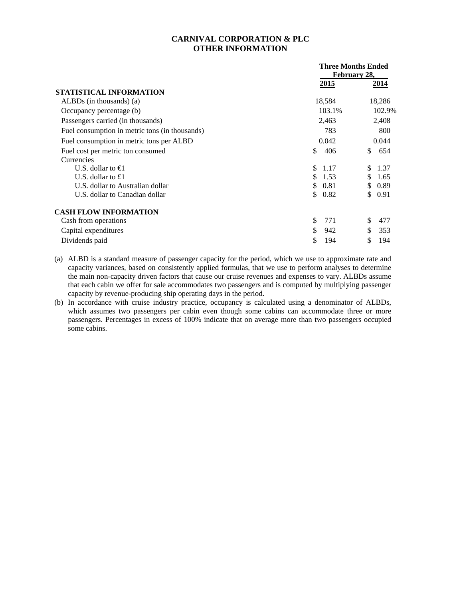#### **CARNIVAL CORPORATION & PLC OTHER INFORMATION**

|                                                | <b>Three Months Ended</b><br>February 28, |             |
|------------------------------------------------|-------------------------------------------|-------------|
|                                                | <u>2015</u>                               | <u>2014</u> |
| <b>STATISTICAL INFORMATION</b>                 |                                           |             |
| ALBDs (in thousands) $(a)$                     | 18,584                                    | 18,286      |
| Occupancy percentage (b)                       | 103.1%                                    | 102.9%      |
| Passengers carried (in thousands)              | 2,463                                     | 2,408       |
| Fuel consumption in metric tons (in thousands) | 783                                       | 800         |
| Fuel consumption in metric tons per ALBD       | 0.042                                     | 0.044       |
| Fuel cost per metric ton consumed              | \$<br>406                                 | \$<br>654   |
| Currencies                                     |                                           |             |
| U.S. dollar to $\bigoplus$                     | \$.<br>1.17                               | S<br>1.37   |
| U.S. dollar to $\pounds 1$                     | 1.53<br>S.                                | \$<br>1.65  |
| U.S. dollar to Australian dollar               | 0.81<br>S                                 | S<br>0.89   |
| U.S. dollar to Canadian dollar                 | \$<br>0.82                                | \$<br>0.91  |
| <b>CASH FLOW INFORMATION</b>                   |                                           |             |
| Cash from operations                           | 771<br>\$                                 | \$<br>477   |
| Capital expenditures                           | \$<br>942                                 | \$<br>353   |
| Dividends paid                                 | \$<br>194                                 | \$<br>194   |

(a) ALBD is a standard measure of passenger capacity for the period, which we use to approximate rate and capacity variances, based on consistently applied formulas, that we use to perform analyses to determine the main non-capacity driven factors that cause our cruise revenues and expenses to vary. ALBDs assume that each cabin we offer for sale accommodates two passengers and is computed by multiplying passenger capacity by revenue-producing ship operating days in the period.

(b) In accordance with cruise industry practice, occupancy is calculated using a denominator of ALBDs, which assumes two passengers per cabin even though some cabins can accommodate three or more passengers. Percentages in excess of 100% indicate that on average more than two passengers occupied some cabins.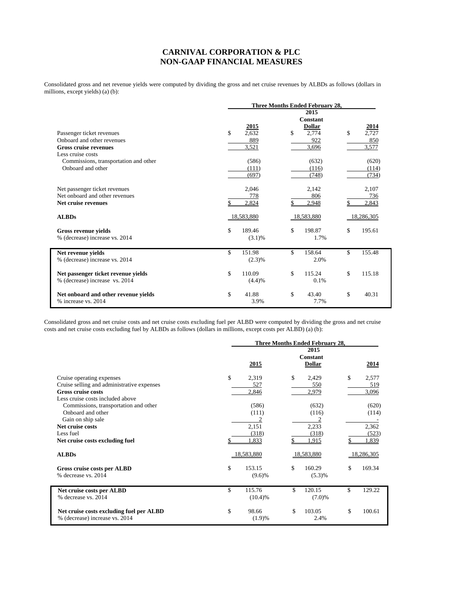### **CARNIVAL CORPORATION & PLC NON-GAAP FINANCIAL MEASURES**

Consolidated gross and net revenue yields were computed by dividing the gross and net cruise revenues by ALBDs as follows (dollars in millions, except yields) (a) (b):

|                                       |              | Three Months Ended February 28,<br>2015 |              |
|---------------------------------------|--------------|-----------------------------------------|--------------|
|                                       |              | Constant                                |              |
|                                       | 2015         | <b>Dollar</b>                           | 2014         |
| Passenger ticket revenues             | \$<br>2,632  | \$<br>2,774                             | \$<br>2,727  |
| Onboard and other revenues            | 889          | 922                                     | 850          |
| <b>Gross cruise revenues</b>          | 3,521        | 3,696                                   | 3,577        |
| Less cruise costs                     |              |                                         |              |
| Commissions, transportation and other | (586)        | (632)                                   | (620)        |
| Onboard and other                     | (111)        | (116)                                   | (114)        |
|                                       | (697)        | (748)                                   | (734)        |
| Net passenger ticket revenues         | 2,046        | 2,142                                   | 2,107        |
| Net onboard and other revenues        | 778          | 806                                     | 736          |
| Net cruise revenues                   | 2,824        | 2,948                                   | 2,843        |
|                                       |              |                                         |              |
| <b>ALBDs</b>                          | 18.583.880   | 18.583.880                              | 18.286.305   |
| Gross revenue yields                  | \$<br>189.46 | \$<br>198.87                            | \$<br>195.61 |
| % (decrease) increase vs. 2014        | $(3.1)\%$    | 1.7%                                    |              |
|                                       |              |                                         |              |
| Net revenue yields                    | \$<br>151.98 | \$<br>158.64                            | \$<br>155.48 |
| % (decrease) increase vs. 2014        | $(2.3)\%$    | 2.0%                                    |              |
| Net passenger ticket revenue yields   | \$<br>110.09 | \$<br>115.24                            | \$<br>115.18 |
| % (decrease) increase vs. 2014        | (4.4)%       | 0.1%                                    |              |
| Net onboard and other revenue yields  | \$<br>41.88  | \$<br>43.40                             | \$<br>40.31  |
| % increase vs. 2014                   | 3.9%         | 7.7%                                    |              |

Consolidated gross and net cruise costs and net cruise costs excluding fuel per ALBD were computed by dividing the gross and net cruise costs and net cruise costs excluding fuel by ALBDs as follows (dollars in millions, except costs per ALBD) (a) (b):

|                                                                            |                            | Three Months Ended February 28,          |              |
|----------------------------------------------------------------------------|----------------------------|------------------------------------------|--------------|
|                                                                            | 2015                       | 2015<br><b>Constant</b><br><b>Dollar</b> | 2014         |
| Cruise operating expenses                                                  | \$<br>2,319                | \$<br>2,429                              | \$<br>2,577  |
| Cruise selling and administrative expenses                                 | 527                        | 550                                      | 519          |
| <b>Gross cruise costs</b>                                                  | 2,846                      | 2,979                                    | 3,096        |
| Less cruise costs included above                                           |                            |                                          |              |
| Commissions, transportation and other                                      | (586)                      | (632)                                    | (620)        |
| Onboard and other                                                          | (111)                      | (116)                                    | (114)        |
| Gain on ship sale                                                          |                            |                                          |              |
| Net cruise costs                                                           | 2,151                      | 2,233                                    | 2,362        |
| Less fuel                                                                  | (318)                      | (318)                                    | (523)        |
| Net cruise costs excluding fuel                                            | 1,833                      | 1,915                                    | 1,839        |
| <b>ALBDs</b>                                                               | 18,583,880                 | 18,583,880                               | 18,286,305   |
| Gross cruise costs per ALBD                                                | \$<br>153.15               | \$<br>160.29                             | \$<br>169.34 |
| % decrease vs. 2014                                                        | $(9.6)\%$                  | (5.3)%                                   |              |
| Net cruise costs per ALBD<br>% decrease vs. 2014                           | \$<br>115.76<br>$(10.4)\%$ | \$<br>120.15<br>(7.0)%                   | \$<br>129.22 |
| Net cruise costs excluding fuel per ALBD<br>% (decrease) increase vs. 2014 | \$<br>98.66<br>(1.9)%      | \$<br>103.05<br>2.4%                     | \$<br>100.61 |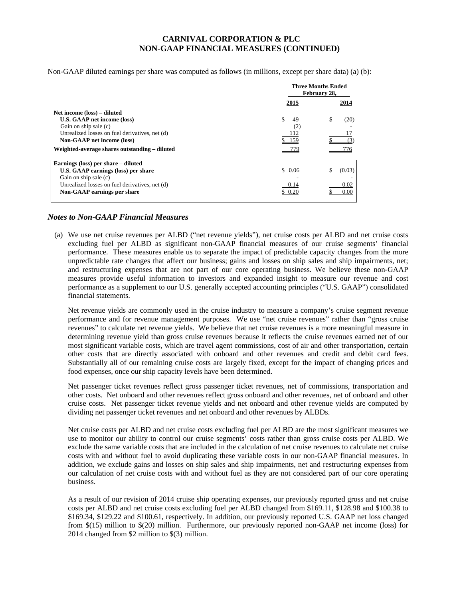#### **CARNIVAL CORPORATION & PLC NON-GAAP FINANCIAL MEASURES (CONTINUED)**

Non-GAAP diluted earnings per share was computed as follows (in millions, except per share data) (a) (b):

|                                                | <b>Three Months Ended</b><br>February 28, |              |  |
|------------------------------------------------|-------------------------------------------|--------------|--|
|                                                | 2015                                      | 2014         |  |
| Net income (loss) – diluted                    |                                           |              |  |
| <b>U.S. GAAP net income (loss)</b>             | \$<br>49                                  | \$<br>(20)   |  |
| Gain on ship sale (c)                          | (2)                                       |              |  |
| Unrealized losses on fuel derivatives, net (d) | 112                                       |              |  |
| Non-GAAP net income (loss)                     | - 159                                     |              |  |
| Weighted-average shares outstanding – diluted  | 779                                       | 776          |  |
| Earnings (loss) per share – diluted            |                                           |              |  |
| U.S. GAAP earnings (loss) per share            | \$0.06                                    | \$<br>(0.03) |  |
| Gain on ship sale (c)                          |                                           |              |  |
| Unrealized losses on fuel derivatives, net (d) | 0.14                                      | 0.02         |  |
| Non-GAAP earnings per share                    | \$ 0.20                                   | 0.00         |  |

#### *Notes to Non-GAAP Financial Measures*

(a) We use net cruise revenues per ALBD ("net revenue yields"), net cruise costs per ALBD and net cruise costs excluding fuel per ALBD as significant non-GAAP financial measures of our cruise segments' financial performance. These measures enable us to separate the impact of predictable capacity changes from the more unpredictable rate changes that affect our business; gains and losses on ship sales and ship impairments, net; and restructuring expenses that are not part of our core operating business. We believe these non-GAAP measures provide useful information to investors and expanded insight to measure our revenue and cost performance as a supplement to our U.S. generally accepted accounting principles ("U.S. GAAP") consolidated financial statements.

Net revenue yields are commonly used in the cruise industry to measure a company's cruise segment revenue performance and for revenue management purposes. We use "net cruise revenues" rather than "gross cruise revenues" to calculate net revenue yields. We believe that net cruise revenues is a more meaningful measure in determining revenue yield than gross cruise revenues because it reflects the cruise revenues earned net of our most significant variable costs, which are travel agent commissions, cost of air and other transportation, certain other costs that are directly associated with onboard and other revenues and credit and debit card fees. Substantially all of our remaining cruise costs are largely fixed, except for the impact of changing prices and food expenses, once our ship capacity levels have been determined.

Net passenger ticket revenues reflect gross passenger ticket revenues, net of commissions, transportation and other costs. Net onboard and other revenues reflect gross onboard and other revenues, net of onboard and other cruise costs. Net passenger ticket revenue yields and net onboard and other revenue yields are computed by dividing net passenger ticket revenues and net onboard and other revenues by ALBDs.

Net cruise costs per ALBD and net cruise costs excluding fuel per ALBD are the most significant measures we use to monitor our ability to control our cruise segments' costs rather than gross cruise costs per ALBD. We exclude the same variable costs that are included in the calculation of net cruise revenues to calculate net cruise costs with and without fuel to avoid duplicating these variable costs in our non-GAAP financial measures. In addition, we exclude gains and losses on ship sales and ship impairments, net and restructuring expenses from our calculation of net cruise costs with and without fuel as they are not considered part of our core operating business.

As a result of our revision of 2014 cruise ship operating expenses, our previously reported gross and net cruise costs per ALBD and net cruise costs excluding fuel per ALBD changed from \$169.11, \$128.98 and \$100.38 to \$169.34, \$129.22 and \$100.61, respectively. In addition, our previously reported U.S. GAAP net loss changed from \$(15) million to \$(20) million. Furthermore, our previously reported non-GAAP net income (loss) for 2014 changed from \$2 million to \$(3) million.